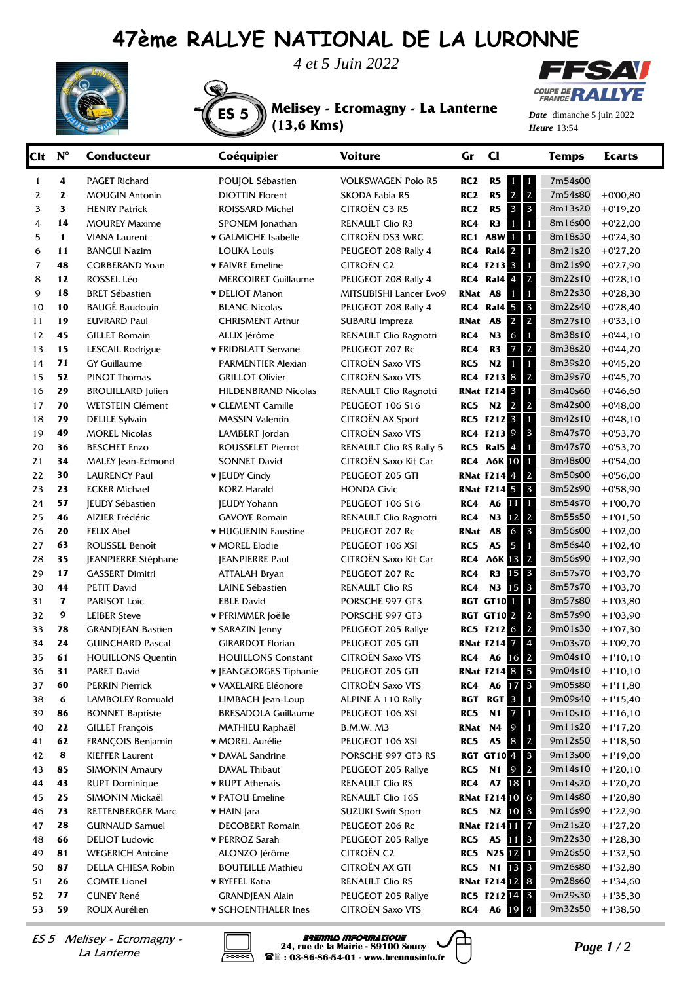## **47ème RALLYE NATIONAL DE LA LURONNE**

ES 5 **Melisey - Ecromagny - La Lanterne** 





**(13,6 Kms)** 



*Date* dimanche 5 juin 2022 *Heure*

| Clt      | $N^{\circ}$      | <b>Conducteur</b>                         | Coéquipier                                           | <b>Voiture</b>                          | Gr              | $cl$                                                      | <b>Temps</b>       | <b>Ecarts</b>            |
|----------|------------------|-------------------------------------------|------------------------------------------------------|-----------------------------------------|-----------------|-----------------------------------------------------------|--------------------|--------------------------|
| 1        | 4                | PAGET Richard                             | POUJOL Sébastien                                     | <b>VOLKSWAGEN Polo R5</b>               | RC <sub>2</sub> | R <sub>5</sub><br>$\mathbf{1}$<br>1                       | 7m54s00            |                          |
| 2        | $\mathbf{z}$     | <b>MOUGIN Antonin</b>                     | <b>DIOTTIN Florent</b>                               | SKODA Fabia R5                          | RC <sub>2</sub> | $\overline{2}$<br>$\mathbf 2$<br>R <sub>5</sub>           | 7m54s80            | $+0'00,80$               |
| 3        | 3                | <b>HENRY Patrick</b>                      | ROISSARD Michel                                      | CITROËN C3 R5                           | RC <sub>2</sub> | $\mathbf{3}$<br>R <sub>5</sub><br>$\overline{\mathbf{3}}$ | 8m13s20            | $+0'19,20$               |
| 4        | 14               | <b>MOUREY Maxime</b>                      | SPONEM Jonathan                                      | <b>RENAULT Clio R3</b>                  | RC4             | R <sub>3</sub><br>$\mathbf{1}$<br>$\mathbf{1}$            | 8m16s00            | $+0'22,00$               |
| 5        | 1                | <b>VIANA Laurent</b>                      | ♥ GALMICHE Isabelle                                  | CITROËN DS3 WRC                         |                 | <b>RC1 A8W1</b><br>$\mathbf{1}$                           | 8m18s30            | $+0'24,30$               |
| 6        | 11               | <b>BANGUI Nazim</b>                       | <b>LOUKA Louis</b>                                   | PEUGEOT 208 Rally 4                     |                 | $\mathbf{1}$<br><b>RC4 Ral4 2</b>                         | 8m21s20            | $+0'27,20$               |
| 7        | 48               | <b>CORBERAND Yoan</b>                     | ♥ FAIVRE Emeline                                     | <b>CITROËN C2</b>                       |                 | RC4 F213 3<br>$\mathbf{1}$                                | 8m21s90            | $+0'27,90$               |
| 8        | 12               | <b>ROSSEL Léo</b>                         | <b>MERCOIRET Guillaume</b>                           | PEUGEOT 208 Rally 4                     |                 | $\overline{2}$<br><b>RC4 Ral4 4</b>                       | 8m22s10            | $+0'28,10$               |
| 9        | 18               | <b>BRET Sébastien</b>                     | <b>v</b> DELIOT Manon                                | MITSUBISHI Lancer Evo9                  | RNat A8         | $\mathbf{1}$<br>1                                         | 8m22s30            | $+0'28,30$               |
| 10       | 10               | <b>BAUGÉ Baudouin</b>                     | <b>BLANC Nicolas</b>                                 | PEUGEOT 208 Rally 4                     |                 | $\mathbf{3}$<br><b>RC4 Ral4 5</b>                         | 8m22s40            | $+0'28,40$               |
| 11       | 19               | <b>EUVRARD Paul</b>                       | <b>CHRISMENT Arthur</b>                              | SUBARU Impreza                          | RNat A8         | $\overline{2}$<br>$\overline{2}$                          | 8m27s10            | $+0'33,10$               |
| 12       | 45               | <b>GILLET Romain</b>                      | ALLIX Jérôme                                         | RENAULT Clio Ragnotti                   | RC4             | 6<br>$\mathbf{1}$<br>N3                                   | 8m38s10            | $+0'44,10$               |
| 13       | 15               | LESCAIL Rodrigue                          | ♥ FRIDBLATT Servane                                  | PEUGEOT 207 Rc                          | RC4             | $\overline{2}$<br>$\overline{7}$<br>R <sub>3</sub>        | 8m38s20            | $+0'44,20$               |
| 14       | 71               | <b>GY Guillaume</b>                       | PARMENTIER Alexian                                   | <b>CITROËN Saxo VTS</b>                 | RC5             | $\mathbf{1}$<br>N2<br>$\mathbf{1}$                        | 8m39s20            | $+0'45,20$               |
| 15       | 52               | <b>PINOT Thomas</b>                       | <b>GRILLOT Olivier</b>                               | <b>CITROËN Saxo VTS</b>                 |                 | $\overline{2}$<br><b>RC4 F213 8</b>                       | 8m39s70            | $+0'45,70$               |
| 16       | 29               | <b>BROUILLARD</b> Julien                  | <b>HILDENBRAND Nicolas</b>                           | RENAULT Clio Ragnotti                   |                 | $\mathbf{1}$<br><b>RNat F214 3</b>                        | 8m40s60            | $+0'46,60$               |
| 17       | 70               | <b>WETSTEIN Clément</b>                   | <b>v CLEMENT Camille</b>                             | <b>PEUGEOT 106 S16</b>                  | RC5             | $\overline{2}$<br>N <sub>2</sub> 2                        | 8m42s00            | $+0'48,00$               |
| 18       | 79               | <b>DELILE Sylvain</b>                     | <b>MASSIN Valentin</b>                               | CITROËN AX Sport                        |                 | $\mathbf{1}$<br><b>RC5 F212 3</b>                         | 8m42s10            | $+0'48,10$               |
| 19       | 49               | <b>MOREL Nicolas</b>                      | LAMBERT Jordan                                       | <b>CITROËN Saxo VTS</b>                 |                 | RC4 F213 9<br>$\mathbf{3}$                                | 8m47s70            | $+0'53,70$               |
| 20       | 36               | <b>BESCHET Enzo</b>                       | <b>ROUSSELET Pierrot</b>                             | <b>RENAULT Clio RS Rally 5</b>          |                 | $\mathbf{1}$<br><b>RC5 Ral5</b> 4                         | 8m47s70            | $+0'53,70$               |
| 21       | 34               | MALEY Jean-Edmond                         | <b>SONNET David</b>                                  | CITROËN Saxo Kit Car                    |                 | $\mathbf{1}$<br><b>RC4 A6K 10</b><br>$\overline{2}$       | 8m48s00            | $+0'54,00$               |
| 22       | 30               | <b>LAURENCY Paul</b>                      | ♥ JEUDY Cindy                                        | PEUGEOT 205 GTI                         |                 | <b>RNat F214 4</b><br><b>RNat F214 5</b><br>$\mathbf{3}$  | 8m50s00<br>8m52s90 | $+0'56,00$               |
| 23<br>24 | 23<br>57         | <b>ECKER Michael</b>                      | <b>KORZ Harald</b>                                   | <b>HONDA Civic</b>                      | RC4             | 11<br>$\mathbf{1}$<br>A6                                  | 8m54s70            | $+0'58,90$<br>$+1'00,70$ |
| 25       | 46               | <b>JEUDY Sébastien</b><br>AIZIER Frédéric | <b>JEUDY Yohann</b><br><b>GAVOYE Romain</b>          | <b>PEUGEOT 106 S16</b>                  | RC4             | $\overline{2}$<br>12<br>N3                                | 8m55s50            | $+1'01,50$               |
| 26       | 20               | <b>FELIX Abel</b>                         | • HUGUENIN Faustine                                  | RENAULT Clio Ragnotti<br>PEUGEOT 207 Rc | RNat            | $\mathbf{3}$<br>6<br><b>A8</b>                            | 8m56s00            | $+1'02,00$               |
| 27       | 63               | ROUSSEL Benoît                            | ♥ MOREL Elodie                                       | PEUGEOT 106 XSI                         | RC5             | 5<br>$\mathbf{1}$<br>A <sub>5</sub>                       | 8m56s40            | $+1'02,40$               |
| 28       | 35               | JEANPIERRE Stéphane                       | <b>JEANPIERRE Paul</b>                               | CITROËN Saxo Kit Car                    | RC4             | $\overline{2}$<br><b>A6K 13</b>                           | 8m56s90            | $+1'02,90$               |
| 29       | 17               | <b>GASSERT Dimitri</b>                    | <b>ATTALAH Bryan</b>                                 | PEUGEOT 207 Rc                          | RC4             | $\overline{3}$<br>15<br>R <sub>3</sub>                    | 8m57s70            | $+1'03,70$               |
| 30       | 44               | <b>PETIT David</b>                        | LAINE Sébastien                                      | <b>RENAULT Clio RS</b>                  | RC4             | 15<br>$\mathbf{3}$<br>N3                                  | 8m57s70            | $+1'03,70$               |
| 31       | $\mathbf{z}$     | PARISOT Loïc                              | <b>EBLE David</b>                                    | PORSCHE 997 GT3                         |                 | RGT GT101<br>$\mathbf{1}$                                 | 8m57s80            | $+1'03,80$               |
| 32       | $\boldsymbol{9}$ | <b>LEIBER Steve</b>                       | ♥ PFRIMMER Joëlle                                    | PORSCHE 997 GT3                         |                 | $\overline{2}$<br><b>RGT GT102</b>                        | 8m57s90            | $+1'03,90$               |
| 33       | 78               | <b>GRANDJEAN Bastien</b>                  | <b>v SARAZIN Jenny</b>                               | PEUGEOT 205 Rallye                      |                 | $\overline{2}$<br>RC5 F212 6                              | 9m01s30            | $+1'07,30$               |
| 34       | 24               | <b>GUINCHARD Pascal</b>                   | <b>GIRARDOT Florian</b>                              | PEUGEOT 205 GTI                         |                 | $\sqrt{4}$<br><b>RNat F214 7</b>                          | 9m03s70            | $+1'09,70$               |
| 35       | 61               | <b>HOUILLONS Quentin</b>                  | <b>HOUILLONS Constant</b>                            | <b>CITROËN Saxo VTS</b>                 | RC4             | $\overline{2}$<br>A6 16                                   | 9m04s10            | $+1'10,10$               |
| 36       | 31               | PARET David                               | <b>v</b> JEANGEORGES Tiphanie                        | PEUGEOT 205 GTI                         |                 | <b>RNat F214 8</b><br>$\mathbf{5}$                        | 9m04s10            | $+1'10,10$               |
| 37       | 60               | <b>PERRIN Pierrick</b>                    | <b>v VAXELAIRE Eléonore</b>                          | <b>CITROËN Saxo VTS</b>                 | RC4             | A6 17 3                                                   | 9m05s80            | $+1'11,80$               |
| 38       | 6                | LAMBOLEY Romuald                          | LIMBACH Jean-Loup                                    | ALPINE A 110 Rally                      |                 | RGT RGT 3<br>$\mathbf{1}$                                 | 9m09s40            | $+1'15,40$               |
| 39       | 86               | <b>BONNET Baptiste</b>                    | <b>BRESADOLA Guillaume</b>                           | PEUGEOT 106 XSI                         | RC5             | $\overline{7}$<br>$\mathbf{1}$<br>N1                      | 9m10s10            | $+1'16,10$               |
| 40       | 22               | <b>GILLET François</b>                    | MATHIEU Raphaël                                      | <b>B.M.W. M3</b>                        | RNat N4         | 9<br>$\mathbf{1}$                                         | 9m11s20            | $+1'17,20$               |
| 41       | 62               | FRANÇOIS Benjamin                         | <b>* MOREL Aurélie</b>                               | PEUGEOT 106 XSI                         | <b>RC5 A5</b>   | $\overline{2}$<br>8                                       | 9m12s50            | $+1'18,50$               |
| 42       | 8                | <b>KIEFFER Laurent</b>                    | <b>v</b> DAVAL Sandrine                              | PORSCHE 997 GT3 RS                      |                 | $\overline{\mathbf{3}}$<br><b>RGT GT104</b>               | 9m13s00            | $+1'19,00$               |
| 43       | 85               | <b>SIMONIN Amaury</b>                     | DAVAL Thibaut                                        | PEUGEOT 205 Rallye                      | RC5             | $\overline{2}$<br>$\overline{9}$<br>N1                    | 9m14s10            | $+1'20,10$               |
| 44       | 43               | <b>RUPT Dominique</b>                     | ♥ RUPT Athenais                                      | <b>RENAULT Clio RS</b>                  | RC4             | 18<br><b>A7</b><br>$\mathbf{1}$                           | 9m14s20            | $+1'20,20$               |
| 45       | 25               | SIMONIN Mickaël                           | ♥ PATOU Emeline                                      | RENAULT Clio 16S                        |                 | <b>RNat F21410</b><br>6                                   | 9m14s80            | $+1'20,80$               |
| 46       | 73               | <b>RETTENBERGER Marc</b>                  | ♥ HAIN Jara                                          | <b>SUZUKI Swift Sport</b>               |                 | $\mathbf{3}$<br>RC5 N2 10                                 | 9m16s90            | $+1'22,90$               |
| 47       | 28               | <b>GURNAUD Samuel</b>                     | <b>DECOBERT Romain</b>                               | PEUGEOT 206 Rc                          |                 | $\overline{7}$<br><b>RNat F214</b>                        | 9m21s20            | $+1'27,20$               |
| 48       | 66               | <b>DELIOT Ludovic</b>                     | ♥ PERROZ Sarah                                       | PEUGEOT 205 Rallye                      |                 | $\mathbf{3}$<br><b>RC5</b> A5 11                          | 9m22s30            | $+1'28,30$               |
| 49       | 81               | <b>WEGERICH Antoine</b>                   | ALONZO Jérôme                                        | <b>CITROËN C2</b>                       |                 | <b>RC5 N2S 12</b><br>$\mathbf{1}$                         | 9m26s50            | $+1'32,50$               |
| 50       | 87               | DELLA CHIESA Robin                        | <b>BOUTEILLE Mathieu</b>                             | CITROËN AX GTI                          |                 | $\overline{\mathbf{3}}$<br>RC5 N1 13                      | 9m26s80            | $+1'32,80$               |
| 51       | 26               | <b>COMTE Lionel</b>                       | ♥ RYFFEL Katia                                       | <b>RENAULT Clio RS</b>                  |                 | <b>RNat F214 12 8</b>                                     | 9m28s60            | $+1'34,60$               |
| 52<br>53 | 77<br>59         | <b>CUNEY René</b><br>ROUX Aurélien        | <b>GRANDJEAN Alain</b><br><b>v SCHOENTHALER Ines</b> | PEUGEOT 205 Rallye<br>CITROËN Saxo VTS  | RC4             | RC5 F212 14 3<br>19 4<br>A6                               | 9m29s30<br>9m32s50 | $+1'35,30$<br>$+1'38,50$ |
|          |                  |                                           |                                                      |                                         |                 |                                                           |                    |                          |

La Lanterne



*PHENNUS INFORMATIQUE*<br> *24, rue de la Mairie - 89100 Soucy*<br> *24, rue de la Mairie - 89100 Soucy*<br>
28 : 03-86-86-54-01 - www.brennusinfo.fr<br>
28 : 03-86-86-54-01 - www.brennusinfo.fr